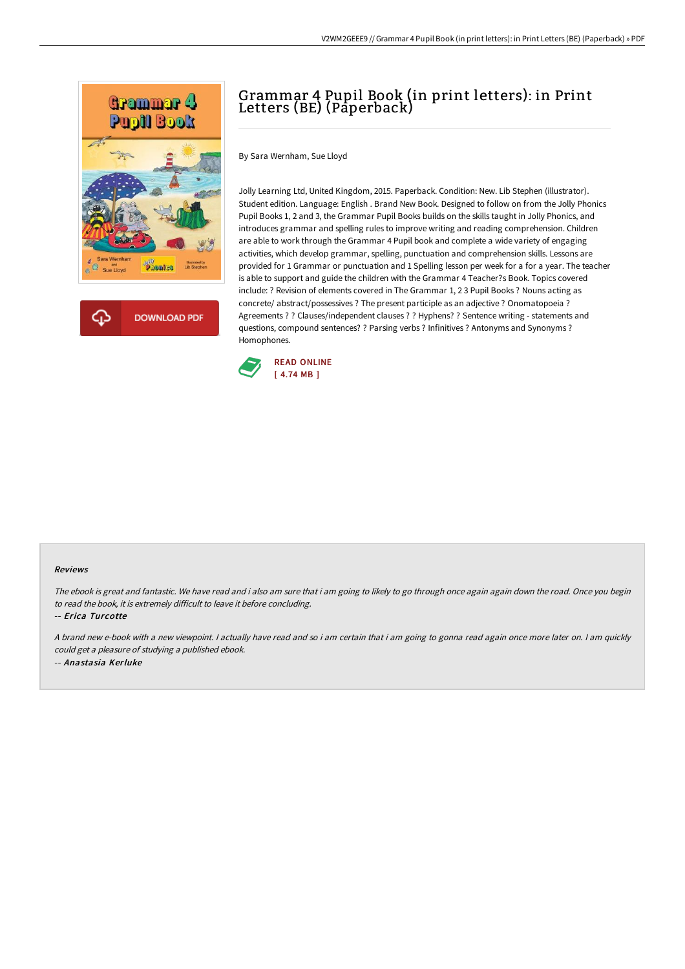

# Grammar 4 Pupil Book (in print letters): in Print Letters (BE) (Paperback)

By Sara Wernham, Sue Lloyd

Jolly Learning Ltd, United Kingdom, 2015. Paperback. Condition: New. Lib Stephen (illustrator). Student edition. Language: English . Brand New Book. Designed to follow on from the Jolly Phonics Pupil Books 1, 2 and 3, the Grammar Pupil Books builds on the skills taught in Jolly Phonics, and introduces grammar and spelling rules to improve writing and reading comprehension. Children are able to work through the Grammar 4 Pupil book and complete a wide variety of engaging activities, which develop grammar, spelling, punctuation and comprehension skills. Lessons are provided for 1 Grammar or punctuation and 1 Spelling lesson per week for a for a year. The teacher is able to support and guide the children with the Grammar 4 Teacher?s Book. Topics covered include: ? Revision of elements covered in The Grammar 1, 2 3 Pupil Books ? Nouns acting as concrete/ abstract/possessives ? The present participle as an adjective ? Onomatopoeia ? Agreements ? ? Clauses/independent clauses ? ? Hyphens? ? Sentence writing - statements and questions, compound sentences? ? Parsing verbs ? Infinitives ? Antonyms and Synonyms ? Homophones.



#### Reviews

The ebook is great and fantastic. We have read and i also am sure that i am going to likely to go through once again again down the road. Once you begin to read the book, it is extremely difficult to leave it before concluding.

-- Erica Turcotte

A brand new e-book with <sup>a</sup> new viewpoint. I actually have read and so i am certain that i am going to gonna read again once more later on. I am quickly could get <sup>a</sup> pleasure of studying <sup>a</sup> published ebook. -- Anastasia Kerluke